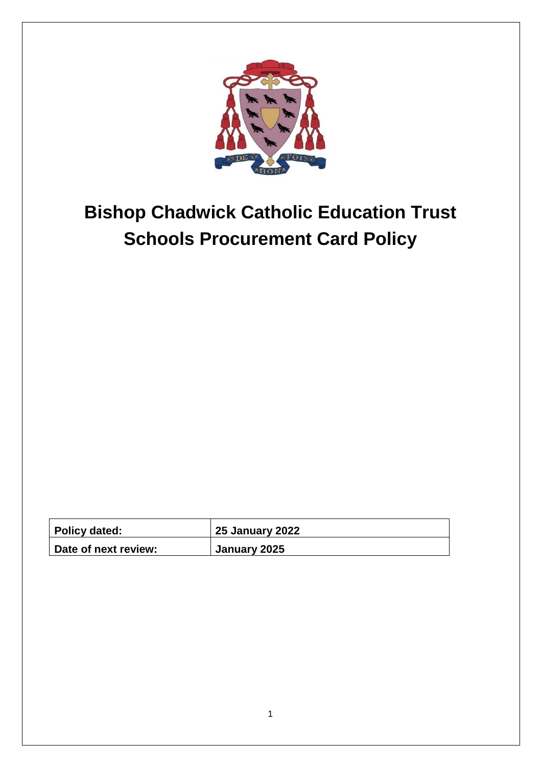

# **Bishop Chadwick Catholic Education Trust Schools Procurement Card Policy**

| <b>Policy dated:</b> | <b>25 January 2022</b> |
|----------------------|------------------------|
| Date of next review: | January 2025           |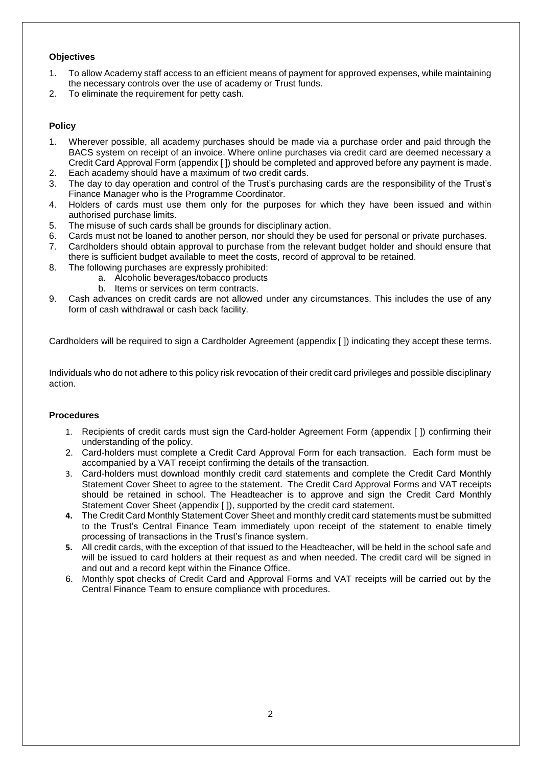# **Objectives**

- 1. To allow Academy staff access to an efficient means of payment for approved expenses, while maintaining the necessary controls over the use of academy or Trust funds.
- 2. To eliminate the requirement for petty cash.

# **Policy**

- 1. Wherever possible, all academy purchases should be made via a purchase order and paid through the BACS system on receipt of an invoice. Where online purchases via credit card are deemed necessary a Credit Card Approval Form (appendix [ ]) should be completed and approved before any payment is made.
- 2. Each academy should have a maximum of two credit cards.
- 3. The day to day operation and control of the Trust's purchasing cards are the responsibility of the Trust's Finance Manager who is the Programme Coordinator.
- 4. Holders of cards must use them only for the purposes for which they have been issued and within authorised purchase limits.
- 5. The misuse of such cards shall be grounds for disciplinary action.
- 6. Cards must not be loaned to another person, nor should they be used for personal or private purchases.
- 7. Cardholders should obtain approval to purchase from the relevant budget holder and should ensure that there is sufficient budget available to meet the costs, record of approval to be retained.
- 8. The following purchases are expressly prohibited:
	- a. Alcoholic beverages/tobacco products
	- b. Items or services on term contracts.
- 9. Cash advances on credit cards are not allowed under any circumstances. This includes the use of any form of cash withdrawal or cash back facility.

Cardholders will be required to sign a Cardholder Agreement (appendix [ ]) indicating they accept these terms.

Individuals who do not adhere to this policy risk revocation of their credit card privileges and possible disciplinary action.

# **Procedures**

- 1. Recipients of credit cards must sign the Card-holder Agreement Form (appendix [ ]) confirming their understanding of the policy.
- 2. Card-holders must complete a Credit Card Approval Form for each transaction. Each form must be accompanied by a VAT receipt confirming the details of the transaction.
- 3. Card-holders must download monthly credit card statements and complete the Credit Card Monthly Statement Cover Sheet to agree to the statement. The Credit Card Approval Forms and VAT receipts should be retained in school. The Headteacher is to approve and sign the Credit Card Monthly Statement Cover Sheet (appendix [ ]), supported by the credit card statement.
- **4.** The Credit Card Monthly Statement Cover Sheet and monthly credit card statements must be submitted to the Trust's Central Finance Team immediately upon receipt of the statement to enable timely processing of transactions in the Trust's finance system.
- **5.** All credit cards, with the exception of that issued to the Headteacher, will be held in the school safe and will be issued to card holders at their request as and when needed. The credit card will be signed in and out and a record kept within the Finance Office.
- 6. Monthly spot checks of Credit Card and Approval Forms and VAT receipts will be carried out by the Central Finance Team to ensure compliance with procedures.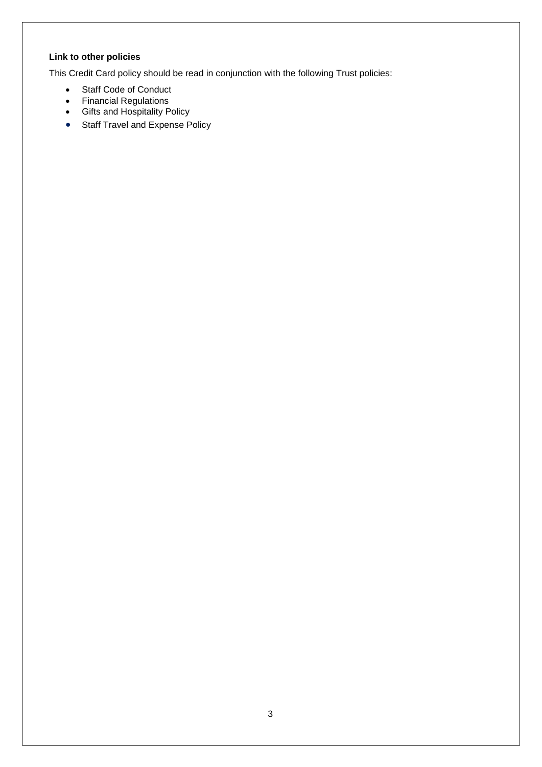# **Link to other policies**

This Credit Card policy should be read in conjunction with the following Trust policies:

- Staff Code of Conduct
- Financial Regulations
- Gifts and Hospitality Policy
- Staff Travel and Expense Policy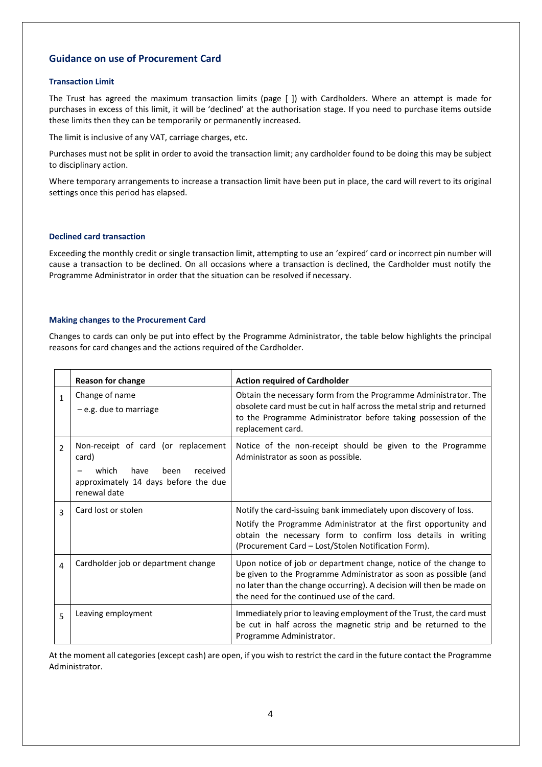# **Guidance on use of Procurement Card**

#### **Transaction Limit**

The Trust has agreed the maximum transaction limits (page [ ]) with Cardholders. Where an attempt is made for purchases in excess of this limit, it will be 'declined' at the authorisation stage. If you need to purchase items outside these limits then they can be temporarily or permanently increased.

The limit is inclusive of any VAT, carriage charges, etc.

Purchases must not be split in order to avoid the transaction limit; any cardholder found to be doing this may be subject to disciplinary action.

Where temporary arrangements to increase a transaction limit have been put in place, the card will revert to its original settings once this period has elapsed.

#### **Declined card transaction**

Exceeding the monthly credit or single transaction limit, attempting to use an 'expired' card or incorrect pin number will cause a transaction to be declined. On all occasions where a transaction is declined, the Cardholder must notify the Programme Administrator in order that the situation can be resolved if necessary.

#### **Making changes to the Procurement Card**

Changes to cards can only be put into effect by the Programme Administrator, the table below highlights the principal reasons for card changes and the actions required of the Cardholder.

|                | <b>Reason for change</b>                                                                                                                  | <b>Action required of Cardholder</b>                                                                                                                                                                                                                        |
|----------------|-------------------------------------------------------------------------------------------------------------------------------------------|-------------------------------------------------------------------------------------------------------------------------------------------------------------------------------------------------------------------------------------------------------------|
| $\mathbf{1}$   | Change of name<br>$-e.g.$ due to marriage                                                                                                 | Obtain the necessary form from the Programme Administrator. The<br>obsolete card must be cut in half across the metal strip and returned<br>to the Programme Administrator before taking possession of the<br>replacement card.                             |
| $\mathfrak{p}$ | Non-receipt of card (or replacement<br>card)<br>received<br>which<br>have<br>been<br>approximately 14 days before the due<br>renewal date | Notice of the non-receipt should be given to the Programme<br>Administrator as soon as possible.                                                                                                                                                            |
| 3              | Card lost or stolen                                                                                                                       | Notify the card-issuing bank immediately upon discovery of loss.<br>Notify the Programme Administrator at the first opportunity and<br>obtain the necessary form to confirm loss details in writing<br>(Procurement Card - Lost/Stolen Notification Form).  |
| 4              | Cardholder job or department change                                                                                                       | Upon notice of job or department change, notice of the change to<br>be given to the Programme Administrator as soon as possible (and<br>no later than the change occurring). A decision will then be made on<br>the need for the continued use of the card. |
| 5              | Leaving employment                                                                                                                        | Immediately prior to leaving employment of the Trust, the card must<br>be cut in half across the magnetic strip and be returned to the<br>Programme Administrator.                                                                                          |

At the moment all categories (except cash) are open, if you wish to restrict the card in the future contact the Programme Administrator.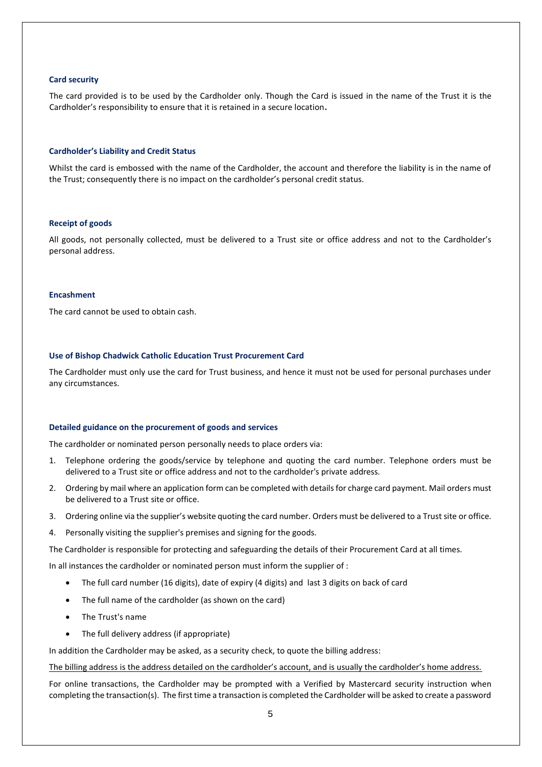#### **Card security**

The card provided is to be used by the Cardholder only. Though the Card is issued in the name of the Trust it is the Cardholder's responsibility to ensure that it is retained in a secure location**.**

#### **Cardholder's Liability and Credit Status**

Whilst the card is embossed with the name of the Cardholder, the account and therefore the liability is in the name of the Trust; consequently there is no impact on the cardholder's personal credit status.

#### **Receipt of goods**

All goods, not personally collected, must be delivered to a Trust site or office address and not to the Cardholder's personal address.

#### **Encashment**

The card cannot be used to obtain cash.

#### **Use of Bishop Chadwick Catholic Education Trust Procurement Card**

The Cardholder must only use the card for Trust business, and hence it must not be used for personal purchases under any circumstances.

#### **Detailed guidance on the procurement of goods and services**

The cardholder or nominated person personally needs to place orders via:

- 1. Telephone ordering the goods/service by telephone and quoting the card number. Telephone orders must be delivered to a Trust site or office address and not to the cardholder's private address.
- 2. Ordering by mail where an application form can be completed with details for charge card payment. Mail orders must be delivered to a Trust site or office.
- 3. Ordering online via the supplier's website quoting the card number. Orders must be delivered to a Trust site or office.
- 4. Personally visiting the supplier's premises and signing for the goods.

The Cardholder is responsible for protecting and safeguarding the details of their Procurement Card at all times.

In all instances the cardholder or nominated person must inform the supplier of :

- The full card number (16 digits), date of expiry (4 digits) and last 3 digits on back of card
- The full name of the cardholder (as shown on the card)
- The Trust's name
- The full delivery address (if appropriate)

In addition the Cardholder may be asked, as a security check, to quote the billing address:

The billing address is the address detailed on the cardholder's account, and is usually the cardholder's home address.

For online transactions, the Cardholder may be prompted with a Verified by Mastercard security instruction when completing the transaction(s). The first time a transaction is completed the Cardholder will be asked to create a password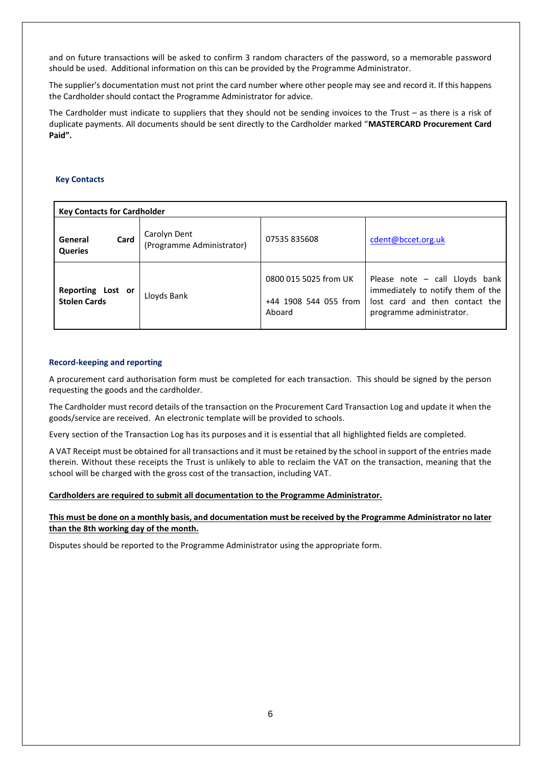and on future transactions will be asked to confirm 3 random characters of the password, so a memorable password should be used. Additional information on this can be provided by the Programme Administrator.

The supplier's documentation must not print the card number where other people may see and record it. If this happens the Cardholder should contact the Programme Administrator for advice.

The Cardholder must indicate to suppliers that they should not be sending invoices to the Trust – as there is a risk of duplicate payments. All documents should be sent directly to the Cardholder marked "**MASTERCARD Procurement Card Paid".**

## **Key Contacts**

| <b>Key Contacts for Cardholder</b>       |                                           |                                                          |                                                                                                                                   |  |
|------------------------------------------|-------------------------------------------|----------------------------------------------------------|-----------------------------------------------------------------------------------------------------------------------------------|--|
| Card<br>General<br><b>Queries</b>        | Carolyn Dent<br>(Programme Administrator) | 07535 835608                                             | cdent@bccet.org.uk                                                                                                                |  |
| Reporting Lost or<br><b>Stolen Cards</b> | Lloyds Bank                               | 0800 015 5025 from UK<br>+44 1908 544 055 from<br>Aboard | Please note - call Lloyds bank<br>immediately to notify them of the<br>lost card and then contact the<br>programme administrator. |  |

### **Record-keeping and reporting**

A procurement card authorisation form must be completed for each transaction. This should be signed by the person requesting the goods and the cardholder.

The Cardholder must record details of the transaction on the Procurement Card Transaction Log and update it when the goods/service are received. An electronic template will be provided to schools.

Every section of the Transaction Log has its purposes and it is essential that all highlighted fields are completed.

A VAT Receipt must be obtained for all transactions and it must be retained by the school in support of the entries made therein. Without these receipts the Trust is unlikely to able to reclaim the VAT on the transaction, meaning that the school will be charged with the gross cost of the transaction, including VAT.

#### **Cardholders are required to submit all documentation to the Programme Administrator.**

**This must be done on a monthly basis, and documentation must be received by the Programme Administrator no later than the 8th working day of the month.** 

Disputes should be reported to the Programme Administrator using the appropriate form.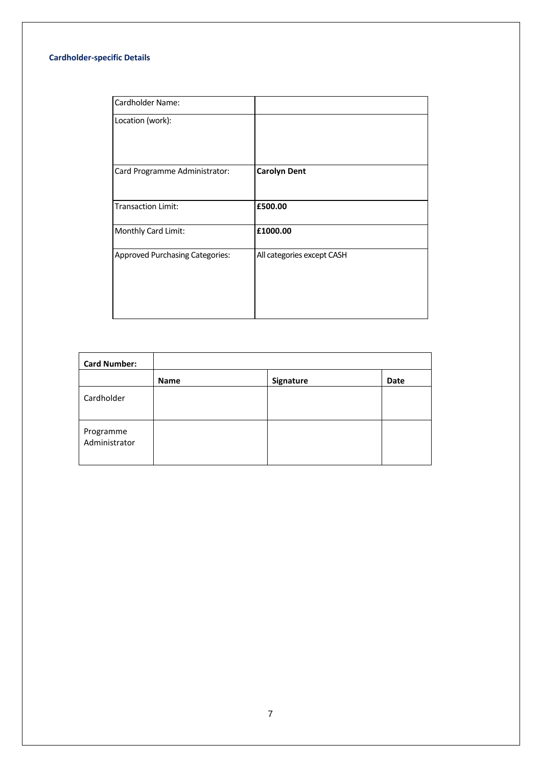# **Cardholder-specific Details**

| Cardholder Name:                       |                            |
|----------------------------------------|----------------------------|
| Location (work):                       |                            |
|                                        |                            |
|                                        |                            |
| Card Programme Administrator:          | <b>Carolyn Dent</b>        |
|                                        |                            |
| <b>Transaction Limit:</b>              | £500.00                    |
| Monthly Card Limit:                    | £1000.00                   |
| <b>Approved Purchasing Categories:</b> | All categories except CASH |
|                                        |                            |
|                                        |                            |
|                                        |                            |

| <b>Card Number:</b>        |             |           |      |
|----------------------------|-------------|-----------|------|
|                            | <b>Name</b> | Signature | Date |
| Cardholder                 |             |           |      |
| Programme<br>Administrator |             |           |      |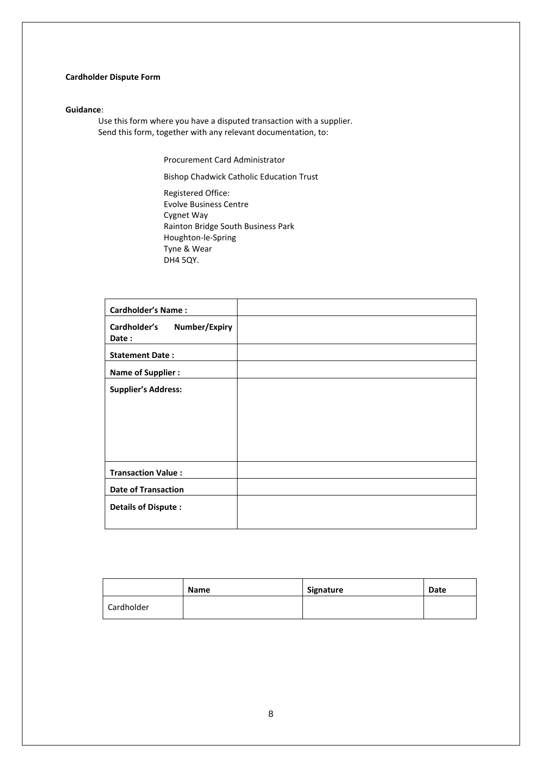# **Cardholder Dispute Form**

#### **Guidance**:

Use this form where you have a disputed transaction with a supplier. Send this form, together with any relevant documentation, to:

Procurement Card Administrator

Bishop Chadwick Catholic Education Trust

Registered Office: Evolve Business Centre Cygnet Way Rainton Bridge South Business Park Houghton-le-Spring Tyne & Wear DH4 5QY.

| <b>Cardholder's Name:</b>                     |  |
|-----------------------------------------------|--|
| Cardholder's<br><b>Number/Expiry</b><br>Date: |  |
| <b>Statement Date:</b>                        |  |
| <b>Name of Supplier:</b>                      |  |
| <b>Supplier's Address:</b>                    |  |
|                                               |  |
|                                               |  |
|                                               |  |
|                                               |  |
| <b>Transaction Value:</b>                     |  |
| <b>Date of Transaction</b>                    |  |
| <b>Details of Dispute:</b>                    |  |

|            | <b>Name</b> | Signature | Date |
|------------|-------------|-----------|------|
| Cardholder |             |           |      |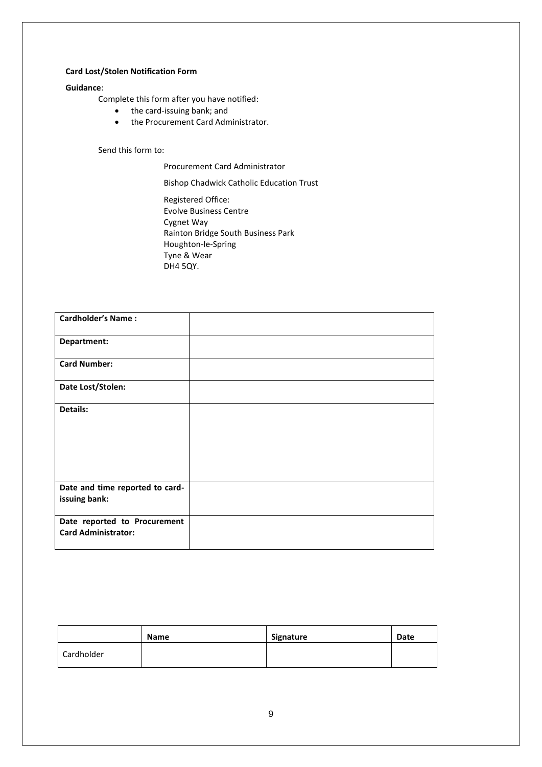## **Card Lost/Stolen Notification Form**

## **Guidance**:

Complete this form after you have notified:

- the card-issuing bank; and
- the Procurement Card Administrator.

## Send this form to:

Procurement Card Administrator

Bishop Chadwick Catholic Education Trust

Registered Office: Evolve Business Centre Cygnet Way Rainton Bridge South Business Park Houghton-le-Spring Tyne & Wear DH4 5QY.

| <b>Cardholder's Name:</b>                                  |  |
|------------------------------------------------------------|--|
| Department:                                                |  |
| <b>Card Number:</b>                                        |  |
| Date Lost/Stolen:                                          |  |
| Details:                                                   |  |
| Date and time reported to card-<br>issuing bank:           |  |
| Date reported to Procurement<br><b>Card Administrator:</b> |  |

|            | <b>Name</b> | Signature | <b>Date</b> |
|------------|-------------|-----------|-------------|
| Cardholder |             |           |             |